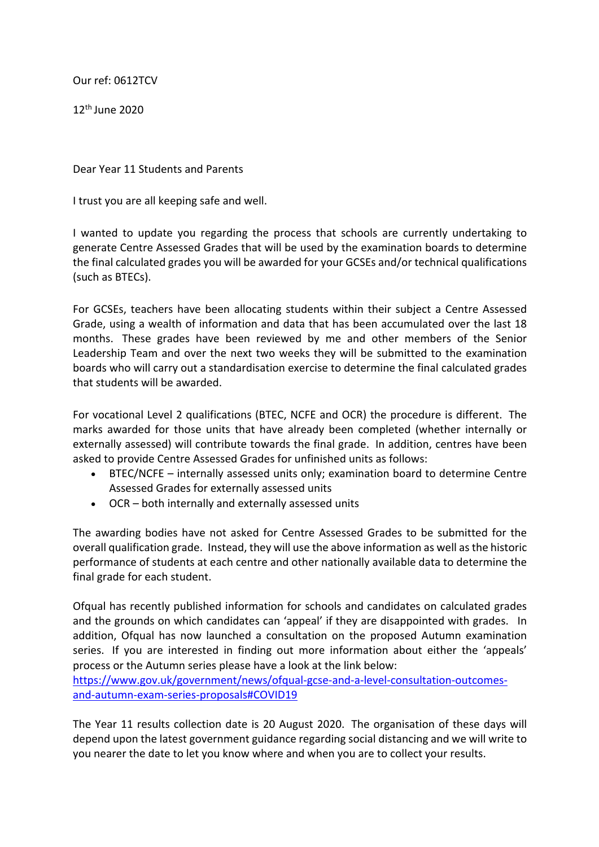Our ref: 0612TCV

12th June 2020

Dear Year 11 Students and Parents

I trust you are all keeping safe and well.

I wanted to update you regarding the process that schools are currently undertaking to generate Centre Assessed Grades that will be used by the examination boards to determine the final calculated grades you will be awarded for your GCSEs and/or technical qualifications (such as BTECs).

For GCSEs, teachers have been allocating students within their subject a Centre Assessed Grade, using a wealth of information and data that has been accumulated over the last 18 months. These grades have been reviewed by me and other members of the Senior Leadership Team and over the next two weeks they will be submitted to the examination boards who will carry out a standardisation exercise to determine the final calculated grades that students will be awarded.

For vocational Level 2 qualifications (BTEC, NCFE and OCR) the procedure is different. The marks awarded for those units that have already been completed (whether internally or externally assessed) will contribute towards the final grade. In addition, centres have been asked to provide Centre Assessed Grades for unfinished units as follows:

- BTEC/NCFE internally assessed units only; examination board to determine Centre Assessed Grades for externally assessed units
- OCR both internally and externally assessed units

The awarding bodies have not asked for Centre Assessed Grades to be submitted for the overall qualification grade. Instead, they will use the above information as well as the historic performance of students at each centre and other nationally available data to determine the final grade for each student.

Ofqual has recently published information for schools and candidates on calculated grades and the grounds on which candidates can 'appeal' if they are disappointed with grades. In addition, Ofqual has now launched a consultation on the proposed Autumn examination series. If you are interested in finding out more information about either the 'appeals' process or the Autumn series please have a look at the link below:

https://www.gov.uk/government/news/ofqual-gcse-and-a-level-consultation-outcomesand-autumn-exam-series-proposals#COVID19

The Year 11 results collection date is 20 August 2020. The organisation of these days will depend upon the latest government guidance regarding social distancing and we will write to you nearer the date to let you know where and when you are to collect your results.